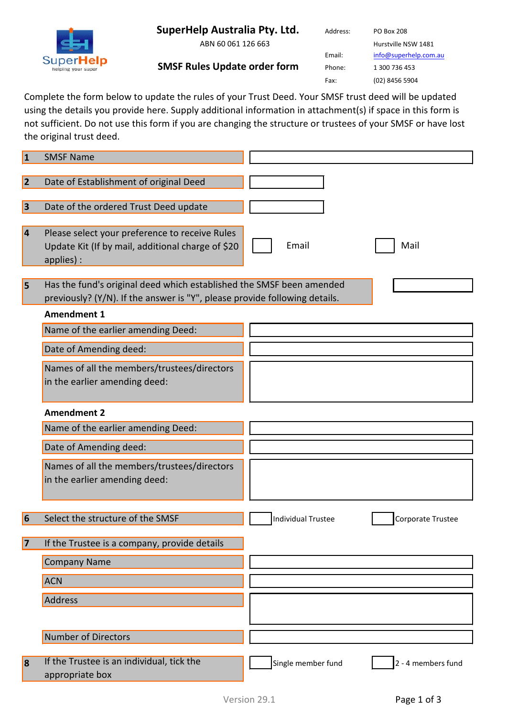

**SuperHelp** 

ABN 60 061 126 663

Address: PO Box 208 Hurstville NSW 1481 Email: [info@superhelp.com.au](mailto:info@superhelp.com.au) Phone: 1 300 736 453 Fax: (02) 8456 5904

**SMSF Rules Update order form**

Complete the form below to update the rules of your Trust Deed. Your SMSF trust deed will be updated using the details you provide here. Supply additional information in attachment(s) if space in this form is not sufficient. Do not use this form if you are changing the structure or trustees of your SMSF or have lost the original trust deed.

| 11 | <b>SMSF Name</b>                                                                                                                                   |                                                |
|----|----------------------------------------------------------------------------------------------------------------------------------------------------|------------------------------------------------|
|    |                                                                                                                                                    |                                                |
| 2  | Date of Establishment of original Deed                                                                                                             |                                                |
| 3  | Date of the ordered Trust Deed update                                                                                                              |                                                |
|    | Please select your preference to receive Rules<br>Update Kit (If by mail, additional charge of \$20<br>applies) :                                  | Email<br>Mail                                  |
| 5  | Has the fund's original deed which established the SMSF been amended<br>previously? (Y/N). If the answer is "Y", please provide following details. |                                                |
|    | <b>Amendment 1</b>                                                                                                                                 |                                                |
|    | Name of the earlier amending Deed:                                                                                                                 |                                                |
|    | Date of Amending deed:                                                                                                                             |                                                |
|    | Names of all the members/trustees/directors<br>in the earlier amending deed:                                                                       |                                                |
|    | <b>Amendment 2</b>                                                                                                                                 |                                                |
|    | Name of the earlier amending Deed:                                                                                                                 |                                                |
|    | Date of Amending deed:                                                                                                                             |                                                |
|    | Names of all the members/trustees/directors<br>in the earlier amending deed:                                                                       |                                                |
| 16 | Select the structure of the SMSF                                                                                                                   | <b>Individual Trustee</b><br>Corporate Trustee |
| 7  | If the Trustee is a company, provide details                                                                                                       |                                                |
|    | <b>Company Name</b>                                                                                                                                |                                                |
|    | <b>ACN</b>                                                                                                                                         |                                                |
|    | Address                                                                                                                                            |                                                |
|    |                                                                                                                                                    |                                                |
|    | Number of Directors                                                                                                                                |                                                |
| 8  | If the Trustee is an individual, tick the<br>appropriate box                                                                                       | Single member fund<br>2 - 4 members fund       |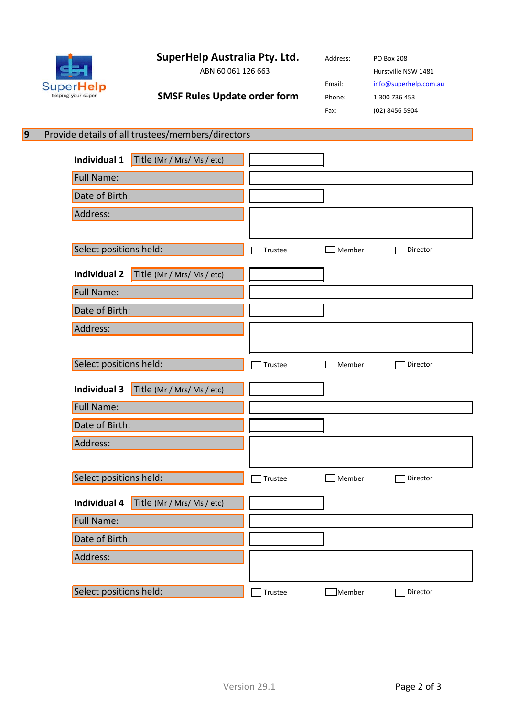**SuperHelp Australia Pty. Ltd.**

**SuperHelp** 

helping your super

**9**

| ABN 60 061 126 663                  |  |
|-------------------------------------|--|
| <b>SMSF Rules Update order form</b> |  |

Address: PO Box 208 Hurstville NSW 1481 Email: [info@superhelp.com.au](mailto:info@superhelp.com.au) Phone: 1 300 736 453 Fax: (02) 8456 5904

## Provide details of all trustees/members/directors

| Individual 1<br>Title (Mr / Mrs/ Ms / etc)        |         |                  |          |          |
|---------------------------------------------------|---------|------------------|----------|----------|
| Full Name:                                        |         |                  |          |          |
| Date of Birth:                                    |         |                  |          |          |
| Address:                                          |         |                  |          |          |
|                                                   |         |                  |          |          |
| Select positions held:                            |         | Trustee          | Member   | Director |
| Title (Mr / Mrs/ Ms / etc)<br><b>Individual 2</b> |         |                  |          |          |
| Full Name:                                        |         |                  |          |          |
| Date of Birth:                                    |         |                  |          |          |
| Address:                                          |         |                  |          |          |
|                                                   |         |                  |          |          |
| Select positions held:                            | Trustee | $\exists$ Member | Director |          |
| <b>Individual 3</b><br>Title (Mr / Mrs/ Ms / etc) |         |                  |          |          |
| Full Name:                                        |         |                  |          |          |
| Date of Birth:                                    |         |                  |          |          |
| Address:                                          |         |                  |          |          |
|                                                   |         |                  |          |          |
| Select positions held:                            |         | Trustee          | Member   | Director |
| Individual 4<br>Title (Mr / Mrs/ Ms / etc)        |         |                  |          |          |
| Full Name:                                        |         |                  |          |          |
|                                                   |         |                  |          |          |
| Date of Birth:                                    |         |                  |          |          |
| Address:                                          |         |                  |          |          |
|                                                   |         |                  |          |          |
| Select positions held:                            |         | Trustee          | Member   | Director |